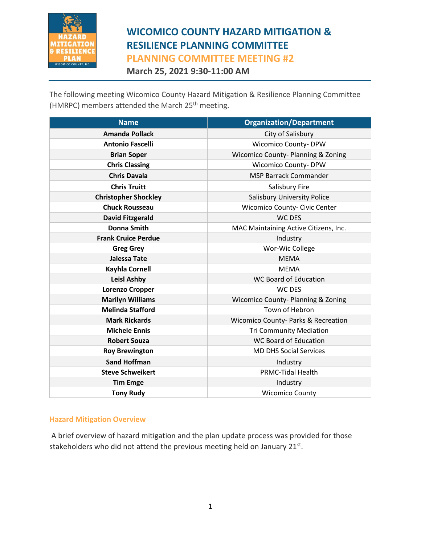

**March 25, 2021 9:30-11:00 AM**

The following meeting Wicomico County Hazard Mitigation & Resilience Planning Committee (HMRPC) members attended the March 25<sup>th</sup> meeting.

| <b>Name</b>                 | <b>Organization/Department</b>        |  |
|-----------------------------|---------------------------------------|--|
| <b>Amanda Pollack</b>       | City of Salisbury                     |  |
| <b>Antonio Fascelli</b>     | <b>Wicomico County- DPW</b>           |  |
| <b>Brian Soper</b>          | Wicomico County-Planning & Zoning     |  |
| <b>Chris Classing</b>       | <b>Wicomico County-DPW</b>            |  |
| <b>Chris Davala</b>         | <b>MSP Barrack Commander</b>          |  |
| <b>Chris Truitt</b>         | Salisbury Fire                        |  |
| <b>Christopher Shockley</b> | <b>Salisbury University Police</b>    |  |
| <b>Chuck Rousseau</b>       | Wicomico County- Civic Center         |  |
| <b>David Fitzgerald</b>     | <b>WC DES</b>                         |  |
| <b>Donna Smith</b>          | MAC Maintaining Active Citizens, Inc. |  |
| <b>Frank Cruice Perdue</b>  | Industry                              |  |
| <b>Greg Grey</b>            | Wor-Wic College                       |  |
| <b>Jalessa Tate</b>         | <b>MEMA</b>                           |  |
| <b>Kayhla Cornell</b>       | <b>MEMA</b>                           |  |
| <b>Leisl Ashby</b>          | <b>WC Board of Education</b>          |  |
| <b>Lorenzo Cropper</b>      | WC DES                                |  |
| <b>Marilyn Williams</b>     | Wicomico County-Planning & Zoning     |  |
| <b>Melinda Stafford</b>     | Town of Hebron                        |  |
| <b>Mark Rickards</b>        | Wicomico County- Parks & Recreation   |  |
| <b>Michele Ennis</b>        | <b>Tri Community Mediation</b>        |  |
| <b>Robert Souza</b>         | <b>WC Board of Education</b>          |  |
| <b>Roy Brewington</b>       | <b>MD DHS Social Services</b>         |  |
| <b>Sand Hoffman</b>         | Industry                              |  |
| <b>Steve Schweikert</b>     | <b>PRMC-Tidal Health</b>              |  |
| <b>Tim Emge</b>             | Industry                              |  |
| <b>Tony Rudy</b>            | <b>Wicomico County</b>                |  |

#### **Hazard Mitigation Overview**

A brief overview of hazard mitigation and the plan update process was provided for those stakeholders who did not attend the previous meeting held on January 21 $^{\text{st}}$ .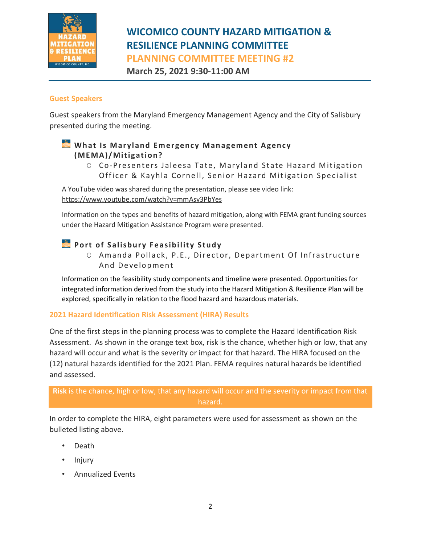

# **WICOMICO COUNTY HAZARD MITIGATION & RESILIENCE PLANNING COMMITTEE**

**PLANNING COMMITTEE MEETING #2**

**March 25, 2021 9:30-11:00 AM**

#### **Guest Speakers**

Guest speakers from the Maryland Emergency Management Agency and the City of Salisbury presented during the meeting.

#### **What Is Maryland Emergency Management Agency ( M E M A )/ Mi ti g at i on?**

O Co-Presenters Jaleesa Tate, Maryland State Hazard Mitigation Officer & Kayhla Cornell, Senior Hazard Mitigation Specialist

A YouTube video was shared during the presentation, please see video link: <https://www.youtube.com/watch?v=mmAsy3PbYes>

Information on the types and benefits of hazard mitigation, along with FEMA grant funding sources under the Hazard Mitigation Assistance Program were presented.

#### **Port of Salisbury Feasibility Study**

O Amanda Pollack, P.E., Director, Department Of Infrastructure And Development

Information on the feasibility study components and timeline were presented. Opportunities for integrated information derived from the study into the Hazard Mitigation & Resilience Plan will be explored, specifically in relation to the flood hazard and hazardous materials.

#### **2021 Hazard Identification Risk Assessment (HIRA) Results**

One of the first steps in the planning process was to complete the Hazard Identification Risk Assessment. As shown in the orange text box, risk is the chance, whether high or low, that any hazard will occur and what is the severity or impact for that hazard. The HIRA focused on the (12) natural hazards identified for the 2021 Plan. FEMA requires natural hazards be identified and assessed.

#### **Risk** is the chance, high or low, that any hazard will occur and the severity or impact from that hazard.

In order to complete the HIRA, eight parameters were used for assessment as shown on the bulleted listing above.

- Death
- Injury
- Annualized Events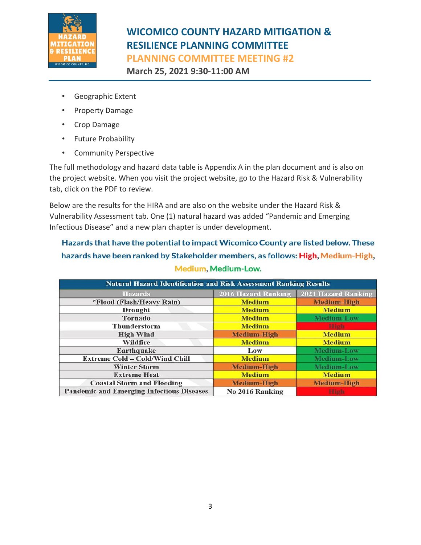

**March 25, 2021 9:30-11:00 AM**

- Geographic Extent
- Property Damage
- Crop Damage
- Future Probability
- Community Perspective

The full methodology and hazard data table is Appendix A in the plan document and is also on the project website. When you visit the project website, go to the Hazard Risk & Vulnerability tab, click on the PDF to review.

Below are the results for the HIRA and are also on the website under the Hazard Risk & Vulnerability Assessment tab. One (1) natural hazard was added "Pandemic and Emerging Infectious Disease" and a new plan chapter is under development.

Hazards that have the potential to impact Wicomico County are listed below. These hazards have been ranked by Stakeholder members, as follows: High, Medium-High, Medium, Medium-Low.

| <b>Natural Hazard Identification and Risk Assessment Ranking Results</b> |                            |                            |
|--------------------------------------------------------------------------|----------------------------|----------------------------|
| <b>Hazards</b>                                                           | <b>2016 Hazard Ranking</b> | <b>2021 Hazard Ranking</b> |
| *Flood (Flash/Heavy Rain)                                                | <b>Medium</b>              | <b>Medium-High</b>         |
| Drought                                                                  | <b>Medium</b>              | <b>Medium</b>              |
| Tornado                                                                  | <b>Medium</b>              | <b>Medium-Low</b>          |
| <b>Thunderstorm</b>                                                      | <b>Medium</b>              | <b>Link</b>                |
| <b>High Wind</b>                                                         | <b>Medium-High</b>         | <b>Medium</b>              |
| Wildfire                                                                 | <b>Medium</b>              | <b>Medium</b>              |
| Earthquake                                                               | Low                        | Medium-Low                 |
| <b>Extreme Cold - Cold/Wind Chill</b>                                    | <b>Medium</b>              | <b>Medium-Low</b>          |
| <b>Winter Storm</b>                                                      | <b>Medium-High</b>         | <b>Medium-Low</b>          |
| <b>Extreme Heat</b>                                                      | <b>Medium</b>              | <b>Medium</b>              |
| <b>Coastal Storm and Flooding</b>                                        | <b>Medium-High</b>         | <b>Medium-High</b>         |
| <b>Pandemic and Emerging Infectious Diseases</b>                         | No 2016 Ranking            |                            |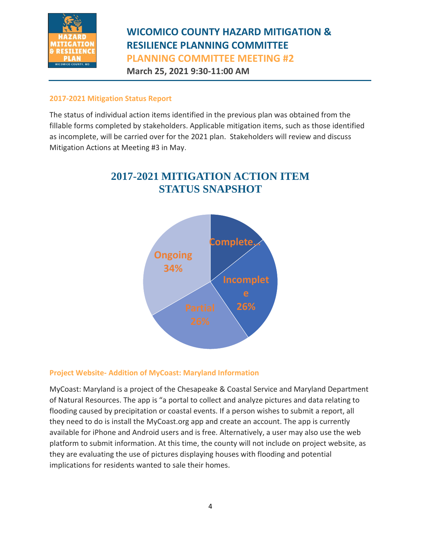

**March 25, 2021 9:30-11:00 AM**

#### **2017-2021 Mitigation Status Report**

The status of individual action items identified in the previous plan was obtained from the fillable forms completed by stakeholders. Applicable mitigation items, such as those identified as incomplete, will be carried over for the 2021 plan. Stakeholders will review and discuss Mitigation Actions at Meeting #3 in May.





#### **Project Website- Addition of MyCoast: Maryland Information**

MyCoast: Maryland is a project of the Chesapeake & Coastal Service and Maryland Department of Natural Resources. The app is "a portal to collect and analyze pictures and data relating to flooding caused by precipitation or coastal events. If a person wishes to submit a report, all they need to do is install the MyCoast.org app and create an account. The app is currently available for iPhone and Android users and is free. Alternatively, a user may also use the web platform to submit information. At this time, the county will not include on project website, as they are evaluating the use of pictures displaying houses with flooding and potential implications for residents wanted to sale their homes.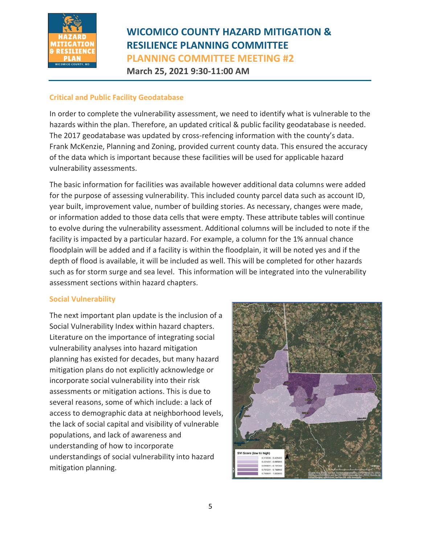

### **WICOMICO COUNTY HAZARD MITIGATION & RESILIENCE PLANNING COMMITTEE PLANNING COMMITTEE MEETING #2 March 25, 2021 9:30-11:00 AM**

#### **Critical and Public Facility Geodatabase**

In order to complete the vulnerability assessment, we need to identify what is vulnerable to the hazards within the plan. Therefore, an updated critical & public facility geodatabase is needed. The 2017 geodatabase was updated by cross-refencing information with the county's data. Frank McKenzie, Planning and Zoning, provided current county data. This ensured the accuracy of the data which is important because these facilities will be used for applicable hazard vulnerability assessments.

The basic information for facilities was available however additional data columns were added for the purpose of assessing vulnerability. This included county parcel data such as account ID, year built, improvement value, number of building stories. As necessary, changes were made, or information added to those data cells that were empty. These attribute tables will continue to evolve during the vulnerability assessment. Additional columns will be included to note if the facility is impacted by a particular hazard. For example, a column for the 1% annual chance floodplain will be added and if a facility is within the floodplain, it will be noted yes and if the depth of flood is available, it will be included as well. This will be completed for other hazards such as for storm surge and sea level. This information will be integrated into the vulnerability assessment sections within hazard chapters.

#### **Social Vulnerability**

The next important plan update is the inclusion of a Social Vulnerability Index within hazard chapters. Literature on the importance of integrating social vulnerability analyses into hazard mitigation planning has existed for decades, but many hazard mitigation plans do not explicitly acknowledge or incorporate social vulnerability into their risk assessments or mitigation actions. This is due to several reasons, some of which include: a lack of access to demographic data at neighborhood levels, the lack of social capital and visibility of vulnerable populations, and lack of awareness and understanding of how to incorporate understandings of social vulnerability into hazard mitigation planning.

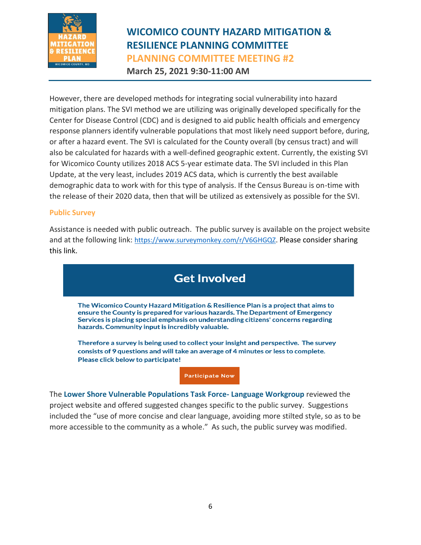

### **WICOMICO COUNTY HAZARD MITIGATION & RESILIENCE PLANNING COMMITTEE PLANNING COMMITTEE MEETING #2 March 25, 2021 9:30-11:00 AM**

However, there are developed methods for integrating social vulnerability into hazard mitigation plans. The SVI method we are utilizing was originally developed specifically for the Center for Disease Control (CDC) and is designed to aid public health officials and emergency response planners identify vulnerable populations that most likely need support before, during, or after a hazard event. The SVI is calculated for the County overall (by census tract) and will also be calculated for hazards with a well-defined geographic extent. Currently, the existing SVI for Wicomico County utilizes 2018 ACS 5-year estimate data. The SVI included in this Plan Update, at the very least, includes 2019 ACS data, which is currently the best available demographic data to work with for this type of analysis. If the Census Bureau is on-time with the release of their 2020 data, then that will be utilized as extensively as possible for the SVI.

#### **Public Survey**

Assistance is needed with public outreach. The public survey is available on the project website and at the following link: [https://www.surveymonkey.com/r/V6GHGQZ.](https://www.surveymonkey.com/r/V6GHGQZ) Please consider sharing this link.

### **Get Involved**

The Wicomico County Hazard Mitigation & Resilience Plan is a project that aims to ensure the County is prepared for various hazards. The Department of Emergency Services is placing special emphasis on understanding citizens' concerns regarding hazards. Community input is incredibly valuable.

Therefore a survey is being used to collect your insight and perspective. The survey consists of 9 questions and will take an average of 4 minutes or less to complete. Please click below to participate!

**Participate Now** 

The **Lower Shore Vulnerable Populations Task Force- Language Workgroup** reviewed the project website and offered suggested changes specific to the public survey. Suggestions included the "use of more concise and clear language, avoiding more stilted style, so as to be more accessible to the community as a whole." As such, the public survey was modified.